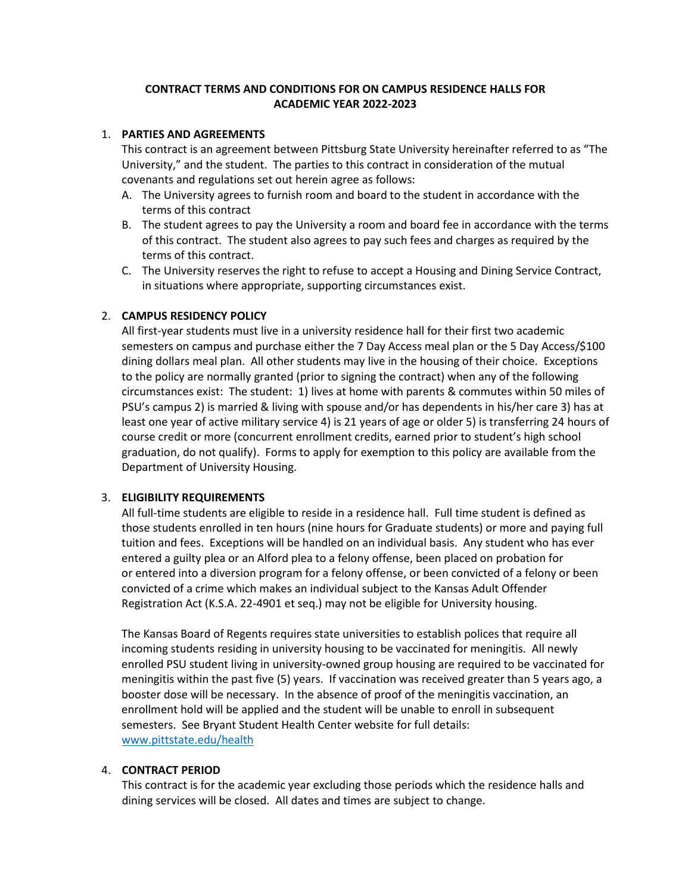## **CONTRACT TERMS AND CONDITIONS FOR ON CAMPUS RESIDENCE HALLS FOR ACADEMIC YEAR 2022-2023**

#### 1. **PARTIES AND AGREEMENTS**

This contract is an agreement between Pittsburg State University hereinafter referred to as "The University," and the student. The parties to this contract in consideration of the mutual covenants and regulations set out herein agree as follows:

- A. The University agrees to furnish room and board to the student in accordance with the terms of this contract
- B. The student agrees to pay the University a room and board fee in accordance with the terms of this contract. The student also agrees to pay such fees and charges as required by the terms of this contract.
- C. The University reserves the right to refuse to accept a Housing and Dining Service Contract, in situations where appropriate, supporting circumstances exist.

### 2. **CAMPUS RESIDENCY POLICY**

All first-year students must live in a university residence hall for their first two academic semesters on campus and purchase either the 7 Day Access meal plan or the 5 Day Access/\$100 dining dollars meal plan. All other students may live in the housing of their choice. Exceptions to the policy are normally granted (prior to signing the contract) when any of the following circumstances exist: The student: 1) lives at home with parents & commutes within 50 miles of PSU's campus 2) is married & living with spouse and/or has dependents in his/her care 3) has at least one year of active military service 4) is 21 years of age or older 5) is transferring 24 hours of course credit or more (concurrent enrollment credits, earned prior to student's high school graduation, do not qualify). Forms to apply for exemption to this policy are available from the Department of University Housing.

### 3. **ELIGIBILITY REQUIREMENTS**

All full-time students are eligible to reside in a residence hall. Full time student is defined as those students enrolled in ten hours (nine hours for Graduate students) or more and paying full tuition and fees. Exceptions will be handled on an individual basis. Any student who has ever entered a guilty plea or an Alford plea to a felony offense, been placed on probation for or entered into a diversion program for a felony offense, or been convicted of a felony or been convicted of a crime which makes an individual subject to the Kansas Adult Offender Registration Act (K.S.A. 22-4901 et seq.) may not be eligible for University housing.

The Kansas Board of Regents requires state universities to establish polices that require all incoming students residing in university housing to be vaccinated for meningitis. All newly enrolled PSU student living in university-owned group housing are required to be vaccinated for meningitis within the past five (5) years. If vaccination was received greater than 5 years ago, a booster dose will be necessary. In the absence of proof of the meningitis vaccination, an enrollment hold will be applied and the student will be unable to enroll in subsequent semesters. See Bryant Student Health Center website for full details: [www.pittstate.edu/health](http://www.pittstate.edu/health)

### 4. **CONTRACT PERIOD**

This contract is for the academic year excluding those periods which the residence halls and dining services will be closed. All dates and times are subject to change.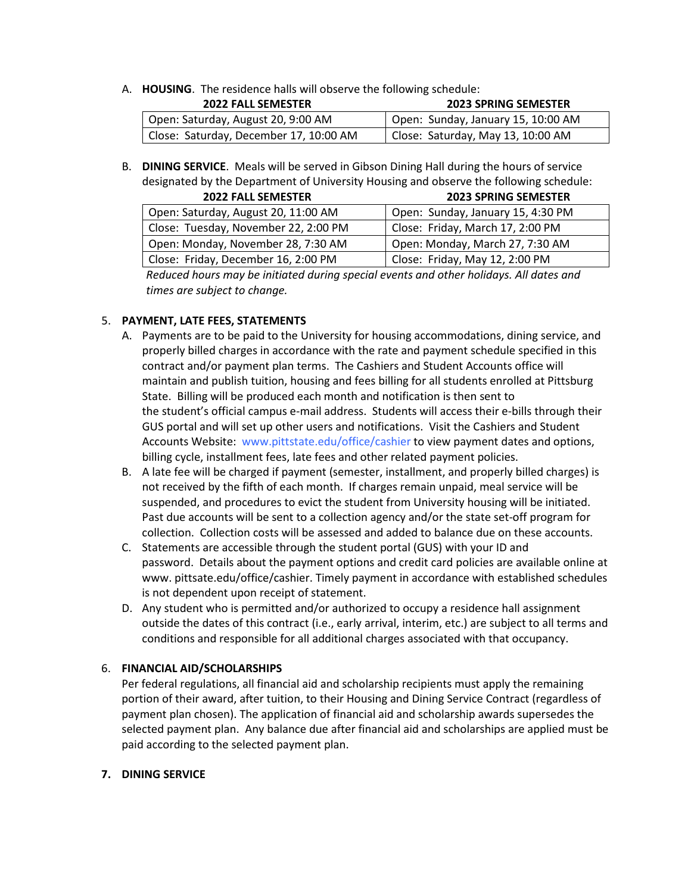### A. **HOUSING**. The residence halls will observe the following schedule:

| <b>2022 FALL SEMESTER</b>              | <b>2023 SPRING SEMESTER</b>        |
|----------------------------------------|------------------------------------|
| Open: Saturday, August 20, 9:00 AM     | Open: Sunday, January 15, 10:00 AM |
| Close: Saturday, December 17, 10:00 AM | Close: Saturday, May 13, 10:00 AM  |

B. **DINING SERVICE**. Meals will be served in Gibson Dining Hall during the hours of service designated by the Department of University Housing and observe the following schedule:

| <b>2022 FALL SEMESTER</b>            | <b>2023 SPRING SEMESTER</b>       |
|--------------------------------------|-----------------------------------|
| Open: Saturday, August 20, 11:00 AM  | Open: Sunday, January 15, 4:30 PM |
| Close: Tuesday, November 22, 2:00 PM | Close: Friday, March 17, 2:00 PM  |
| Open: Monday, November 28, 7:30 AM   | Open: Monday, March 27, 7:30 AM   |
| Close: Friday, December 16, 2:00 PM  | Close: Friday, May 12, 2:00 PM    |

*Reduced hours may be initiated during special events and other holidays. All dates and times are subject to change.*

### 5. **PAYMENT, LATE FEES, STATEMENTS**

- A. Payments are to be paid to the University for housing accommodations, dining service, and properly billed charges in accordance with the rate and payment schedule specified in this contract and/or payment plan terms. The Cashiers and Student Accounts office will maintain and publish tuition, housing and fees billing for all students enrolled at Pittsburg State. Billing will be produced each month and notification is then sent to the student's official campus e-mail address. Students will access their e-bills through their GUS portal and will set up other users and notifications. Visit the Cashiers and Student Accounts Website: [www.pittstate.edu/office/cashier](http://www.pittstate.edu/office/cashier) to view payment dates and options, billing cycle, installment fees, late fees and other related payment policies.
- B. A late fee will be charged if payment (semester, installment, and properly billed charges) is not received by the fifth of each month. If charges remain unpaid, meal service will be suspended, and procedures to evict the student from University housing will be initiated. Past due accounts will be sent to a collection agency and/or the state set-off program for collection. Collection costs will be assessed and added to balance due on these accounts.
- C. Statements are accessible through the student portal (GUS) with your ID and password. Details about the payment options and credit card policies are available online at www. pittsate.edu/office/cashier. Timely payment in accordance with established schedules is not dependent upon receipt of statement.
- D. Any student who is permitted and/or authorized to occupy a residence hall assignment outside the dates of this contract (i.e., early arrival, interim, etc.) are subject to all terms and conditions and responsible for all additional charges associated with that occupancy.

### 6. **FINANCIAL AID/SCHOLARSHIPS**

Per federal regulations, all financial aid and scholarship recipients must apply the remaining portion of their award, after tuition, to their Housing and Dining Service Contract (regardless of payment plan chosen). The application of financial aid and scholarship awards supersedes the selected payment plan. Any balance due after financial aid and scholarships are applied must be paid according to the selected payment plan.

### **7. DINING SERVICE**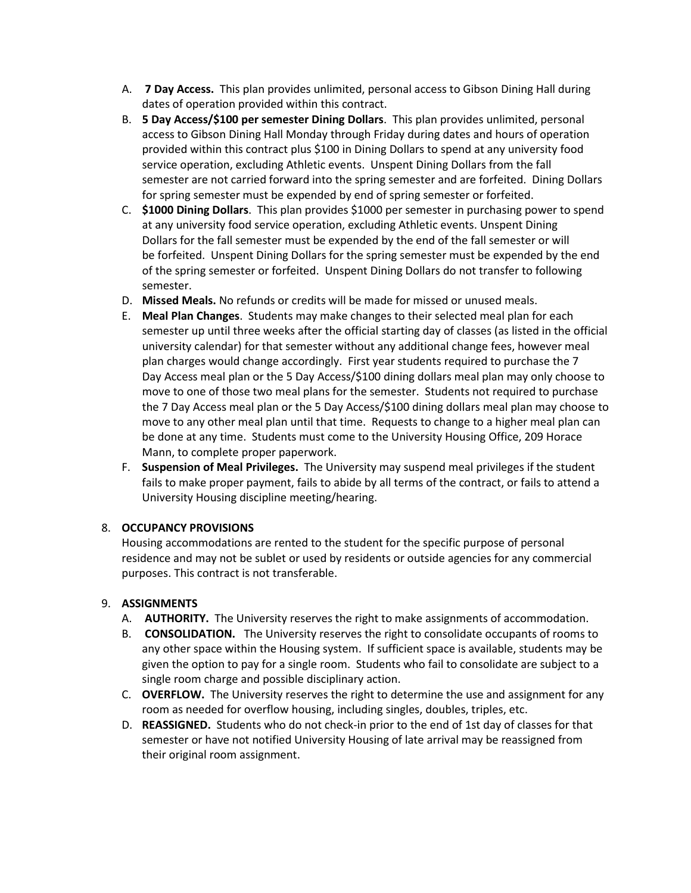- A. **7 Day Access.** This plan provides unlimited, personal access to Gibson Dining Hall during dates of operation provided within this contract.
- B. **5 Day Access/\$100 per semester Dining Dollars**. This plan provides unlimited, personal access to Gibson Dining Hall Monday through Friday during dates and hours of operation provided within this contract plus \$100 in Dining Dollars to spend at any university food service operation, excluding Athletic events. Unspent Dining Dollars from the fall semester are not carried forward into the spring semester and are forfeited. Dining Dollars for spring semester must be expended by end of spring semester or forfeited.
- C. **\$1000 Dining Dollars**. This plan provides \$1000 per semester in purchasing power to spend at any university food service operation, excluding Athletic events. Unspent Dining Dollars for the fall semester must be expended by the end of the fall semester or will be forfeited. Unspent Dining Dollars for the spring semester must be expended by the end of the spring semester or forfeited. Unspent Dining Dollars do not transfer to following semester.
- D. **Missed Meals.** No refunds or credits will be made for missed or unused meals.
- E. **Meal Plan Changes**. Students may make changes to their selected meal plan for each semester up until three weeks after the official starting day of classes (as listed in the official university calendar) for that semester without any additional change fees, however meal plan charges would change accordingly.  First year students required to purchase the 7 Day Access meal plan or the 5 Day Access/\$100 dining dollars meal plan may only choose to move to one of those two meal plans for the semester.  Students not required to purchase the 7 Day Access meal plan or the 5 Day Access/\$100 dining dollars meal plan may choose to move to any other meal plan until that time.  Requests to change to a higher meal plan can be done at any time.  Students must come to the University Housing Office, 209 Horace Mann, to complete proper paperwork.
- F. **Suspension of Meal Privileges.** The University may suspend meal privileges if the student fails to make proper payment, fails to abide by all terms of the contract, or fails to attend a University Housing discipline meeting/hearing.

# 8. **OCCUPANCY PROVISIONS**

Housing accommodations are rented to the student for the specific purpose of personal residence and may not be sublet or used by residents or outside agencies for any commercial purposes. This contract is not transferable.

### 9. **ASSIGNMENTS**

- A. **AUTHORITY.** The University reserves the right to make assignments of accommodation.
- B. **CONSOLIDATION.** The University reserves the right to consolidate occupants of rooms to any other space within the Housing system. If sufficient space is available, students may be given the option to pay for a single room. Students who fail to consolidate are subject to a single room charge and possible disciplinary action.
- C. **OVERFLOW.** The University reserves the right to determine the use and assignment for any room as needed for overflow housing, including singles, doubles, triples, etc.
- D. **REASSIGNED.** Students who do not check-in prior to the end of 1st day of classes for that semester or have not notified University Housing of late arrival may be reassigned from their original room assignment.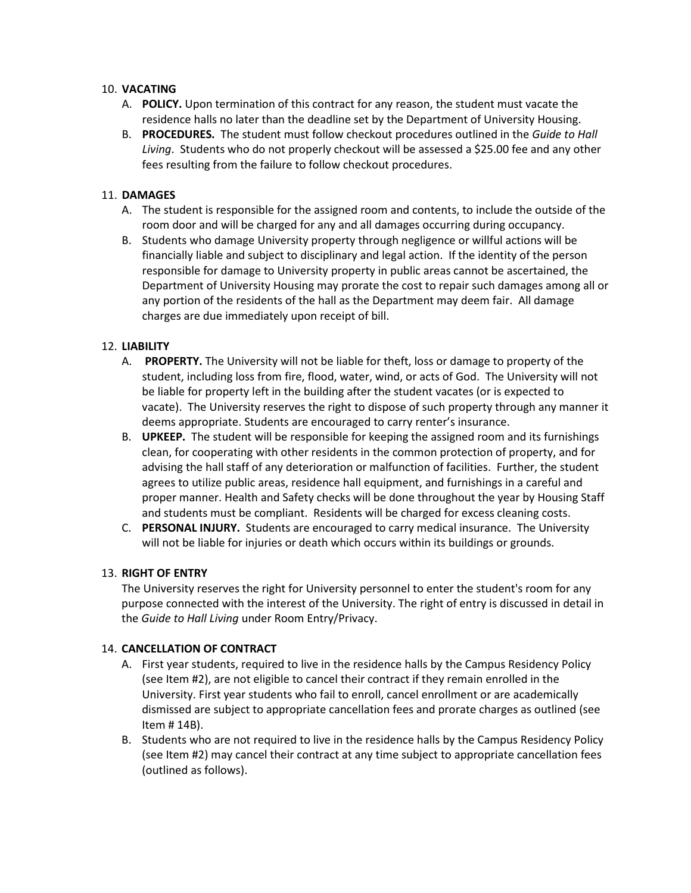## 10. **VACATING**

- A. **POLICY.** Upon termination of this contract for any reason, the student must vacate the residence halls no later than the deadline set by the Department of University Housing.
- B. **PROCEDURES.** The student must follow checkout procedures outlined in the *Guide to Hall Living*. Students who do not properly checkout will be assessed a \$25.00 fee and any other fees resulting from the failure to follow checkout procedures.

# 11. **DAMAGES**

- A. The student is responsible for the assigned room and contents, to include the outside of the room door and will be charged for any and all damages occurring during occupancy.
- B. Students who damage University property through negligence or willful actions will be financially liable and subject to disciplinary and legal action. If the identity of the person responsible for damage to University property in public areas cannot be ascertained, the Department of University Housing may prorate the cost to repair such damages among all or any portion of the residents of the hall as the Department may deem fair. All damage charges are due immediately upon receipt of bill.

## 12. **LIABILITY**

- A. **PROPERTY.** The University will not be liable for theft, loss or damage to property of the student, including loss from fire, flood, water, wind, or acts of God. The University will not be liable for property left in the building after the student vacates (or is expected to vacate). The University reserves the right to dispose of such property through any manner it deems appropriate. Students are encouraged to carry renter's insurance.
- B. **UPKEEP.** The student will be responsible for keeping the assigned room and its furnishings clean, for cooperating with other residents in the common protection of property, and for advising the hall staff of any deterioration or malfunction of facilities. Further, the student agrees to utilize public areas, residence hall equipment, and furnishings in a careful and proper manner. Health and Safety checks will be done throughout the year by Housing Staff and students must be compliant. Residents will be charged for excess cleaning costs.
- C. **PERSONAL INJURY.** Students are encouraged to carry medical insurance. The University will not be liable for injuries or death which occurs within its buildings or grounds.

### 13. **RIGHT OF ENTRY**

The University reserves the right for University personnel to enter the student's room for any purpose connected with the interest of the University. The right of entry is discussed in detail in the *Guide to Hall Living* under Room Entry/Privacy.

### 14. **CANCELLATION OF CONTRACT**

- A. First year students, required to live in the residence halls by the Campus Residency Policy (see Item #2), are not eligible to cancel their contract if they remain enrolled in the University. First year students who fail to enroll, cancel enrollment or are academically dismissed are subject to appropriate cancellation fees and prorate charges as outlined (see Item # 14B).
- B. Students who are not required to live in the residence halls by the Campus Residency Policy (see Item #2) may cancel their contract at any time subject to appropriate cancellation fees (outlined as follows).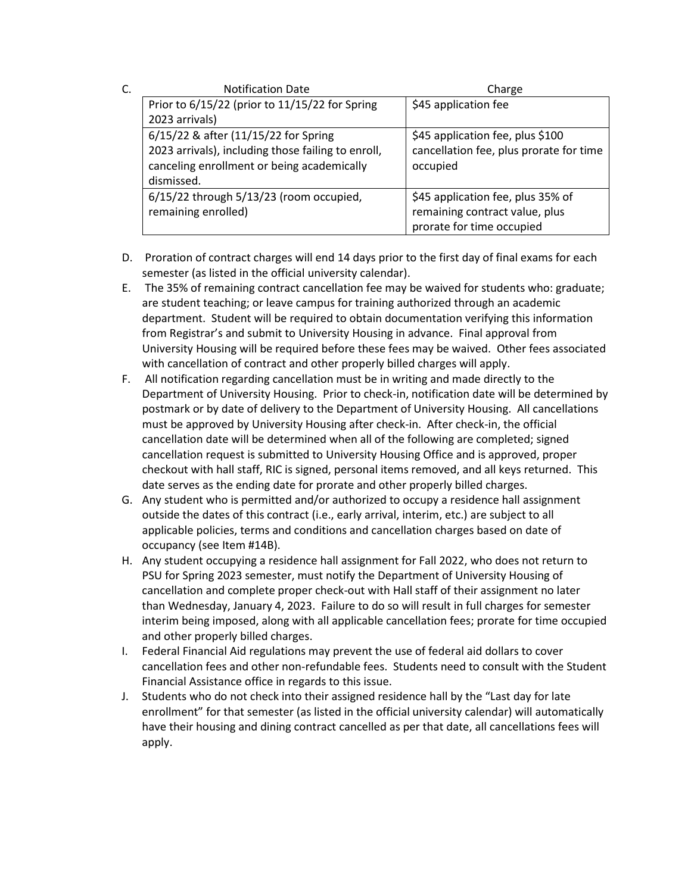| C. | <b>Notification Date</b>                           | Charge                                  |
|----|----------------------------------------------------|-----------------------------------------|
|    | Prior to 6/15/22 (prior to 11/15/22 for Spring     | \$45 application fee                    |
|    | 2023 arrivals)                                     |                                         |
|    | 6/15/22 & after (11/15/22 for Spring               | \$45 application fee, plus \$100        |
|    | 2023 arrivals), including those failing to enroll, | cancellation fee, plus prorate for time |
|    | canceling enrollment or being academically         | occupied                                |
|    | dismissed.                                         |                                         |
|    | $6/15/22$ through $5/13/23$ (room occupied,        | \$45 application fee, plus 35% of       |
|    | remaining enrolled)                                | remaining contract value, plus          |
|    |                                                    | prorate for time occupied               |

- D. Proration of contract charges will end 14 days prior to the first day of final exams for each semester (as listed in the official university calendar).
- E. The 35% of remaining contract cancellation fee may be waived for students who: graduate; are student teaching; or leave campus for training authorized through an academic department. Student will be required to obtain documentation verifying this information from Registrar's and submit to University Housing in advance. Final approval from University Housing will be required before these fees may be waived. Other fees associated with cancellation of contract and other properly billed charges will apply.
- F. All notification regarding cancellation must be in writing and made directly to the Department of University Housing. Prior to check-in, notification date will be determined by postmark or by date of delivery to the Department of University Housing. All cancellations must be approved by University Housing after check-in. After check-in, the official cancellation date will be determined when all of the following are completed; signed cancellation request is submitted to University Housing Office and is approved, proper checkout with hall staff, RIC is signed, personal items removed, and all keys returned. This date serves as the ending date for prorate and other properly billed charges.
- G. Any student who is permitted and/or authorized to occupy a residence hall assignment outside the dates of this contract (i.e., early arrival, interim, etc.) are subject to all applicable policies, terms and conditions and cancellation charges based on date of occupancy (see Item #14B).
- H. Any student occupying a residence hall assignment for Fall 2022, who does not return to PSU for Spring 2023 semester, must notify the Department of University Housing of cancellation and complete proper check-out with Hall staff of their assignment no later than Wednesday, January 4, 2023. Failure to do so will result in full charges for semester interim being imposed, along with all applicable cancellation fees; prorate for time occupied and other properly billed charges.
- I. Federal Financial Aid regulations may prevent the use of federal aid dollars to cover cancellation fees and other non-refundable fees. Students need to consult with the Student Financial Assistance office in regards to this issue.
- J. Students who do not check into their assigned residence hall by the "Last day for late enrollment" for that semester (as listed in the official university calendar) will automatically have their housing and dining contract cancelled as per that date, all cancellations fees will apply.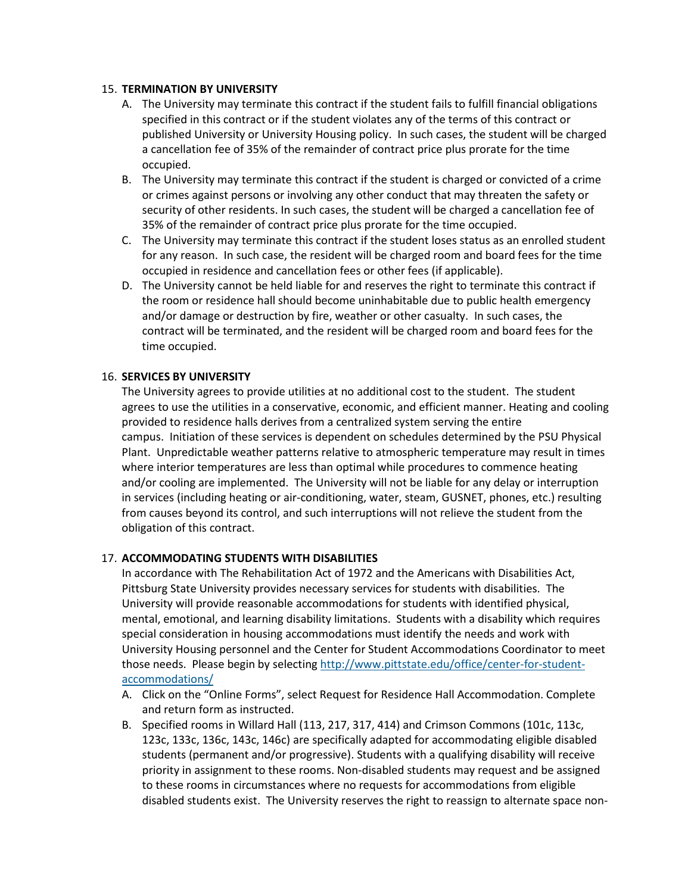### 15. **TERMINATION BY UNIVERSITY**

- A. The University may terminate this contract if the student fails to fulfill financial obligations specified in this contract or if the student violates any of the terms of this contract or published University or University Housing policy. In such cases, the student will be charged a cancellation fee of 35% of the remainder of contract price plus prorate for the time occupied.
- B. The University may terminate this contract if the student is charged or convicted of a crime or crimes against persons or involving any other conduct that may threaten the safety or security of other residents. In such cases, the student will be charged a cancellation fee of 35% of the remainder of contract price plus prorate for the time occupied.
- C. The University may terminate this contract if the student loses status as an enrolled student for any reason. In such case, the resident will be charged room and board fees for the time occupied in residence and cancellation fees or other fees (if applicable).
- D. The University cannot be held liable for and reserves the right to terminate this contract if the room or residence hall should become uninhabitable due to public health emergency and/or damage or destruction by fire, weather or other casualty. In such cases, the contract will be terminated, and the resident will be charged room and board fees for the time occupied.

#### 16. **SERVICES BY UNIVERSITY**

The University agrees to provide utilities at no additional cost to the student. The student agrees to use the utilities in a conservative, economic, and efficient manner. Heating and cooling provided to residence halls derives from a centralized system serving the entire campus. Initiation of these services is dependent on schedules determined by the PSU Physical Plant. Unpredictable weather patterns relative to atmospheric temperature may result in times where interior temperatures are less than optimal while procedures to commence heating and/or cooling are implemented. The University will not be liable for any delay or interruption in services (including heating or air-conditioning, water, steam, GUSNET, phones, etc.) resulting from causes beyond its control, and such interruptions will not relieve the student from the obligation of this contract.

### 17. **ACCOMMODATING STUDENTS WITH DISABILITIES**

In accordance with The Rehabilitation Act of 1972 and the Americans with Disabilities Act, Pittsburg State University provides necessary services for students with disabilities. The University will provide reasonable accommodations for students with identified physical, mental, emotional, and learning disability limitations. Students with a disability which requires special consideration in housing accommodations must identify the needs and work with University Housing personnel and the Center for Student Accommodations Coordinator to meet those needs. Please begin by selecting [http://www.pittstate.edu/office/center-for-student](http://www.pittstate.edu/office/center-for-student-accommodations/)[accommodations/](http://www.pittstate.edu/office/center-for-student-accommodations/)

- A. Click on the "Online Forms", select Request for Residence Hall Accommodation. Complete and return form as instructed.
- B. Specified rooms in Willard Hall (113, 217, 317, 414) and Crimson Commons (101c, 113c, 123c, 133c, 136c, 143c, 146c) are specifically adapted for accommodating eligible disabled students (permanent and/or progressive). Students with a qualifying disability will receive priority in assignment to these rooms. Non-disabled students may request and be assigned to these rooms in circumstances where no requests for accommodations from eligible disabled students exist. The University reserves the right to reassign to alternate space non-